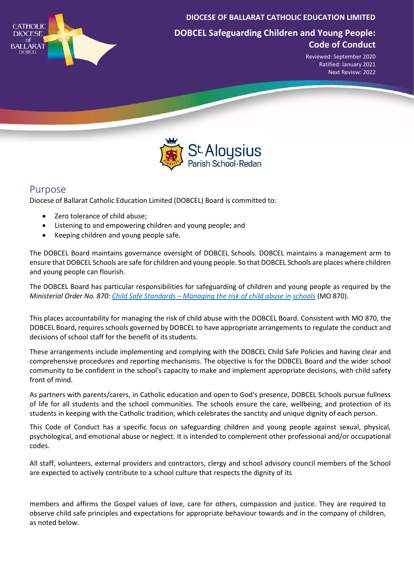

**DIOCESE OF BALLARAT CATHOLIC EDUCATION LIMITED**

**DOBCEL Safeguarding Children and Young People: Code of Conduct**

> Reviewed: September 2020 Ratified: January 2021 Next Review: 2022



## Purpose

Diocese of Ballarat Catholic Education Limited (DOBCEL) Board is committed to:

- Zero tolerance of child abuse;
- Listening to and empowering children and young people; and
- Keeping children and young people safe.

The DOBCEL Board maintains governance oversight of DOBCEL Schools. DOBCEL maintains a management arm to ensure that DOBCEL Schools are safe for children and young people. So that DOBCEL Schools are places where children and young people can flourish.

The DOBCEL Board has particular responsibilities for safeguarding of children and young people as required by the *Ministerial Order No. 870: Child Safe Standards – [Managing the risk of child abuse in](https://www.vrqa.vic.gov.au/childsafe/pages/documents/Min%20Order%20870%20Child%20Safe%20Standards.pdf) [schools](https://www.vrqa.vic.gov.au/childsafe/pages/documents/Min%20Order%20870%20Child%20Safe%20Standards.pdf)* (MO 870).

This places accountability for managing the risk of child abuse with the DOBCEL Board. Consistent with MO 870, the DOBCEL Board, requires schools governed by DOBCEL to have appropriate arrangements to regulate the conduct and decisions of school staff for the benefit of its students.

These arrangements include implementing and complying with the DOBCEL Child Safe Policies and having clear and comprehensive procedures and reporting mechanisms. The objective is for the DOBCEL Board and the wider school community to be confident in the school's capacity to make and implement appropriate decisions, with child safety front of mind.

As partners with parents/carers, in Catholic education and open to God's presence, DOBCEL Schools pursue fullness of life for all students and the school communities. The schools ensure the care, wellbeing, and protection of its students in keeping with the Catholic tradition, which celebrates the sanctity and unique dignity of each person.

This Code of Conduct has a specific focus on safeguarding children and young people against sexual, physical, psychological, and emotional abuse or neglect. It is intended to complement other professional and/or occupational codes.

All staff, volunteers, external providers and contractors, clergy and school advisory council members of the School are expected to actively contribute to a school culture that respects the dignity of its

members and affirms the Gospel values of love, care for others, compassion and justice. They are required to observe child safe principles and expectations for appropriate behaviour towards and in the company of children, as noted below.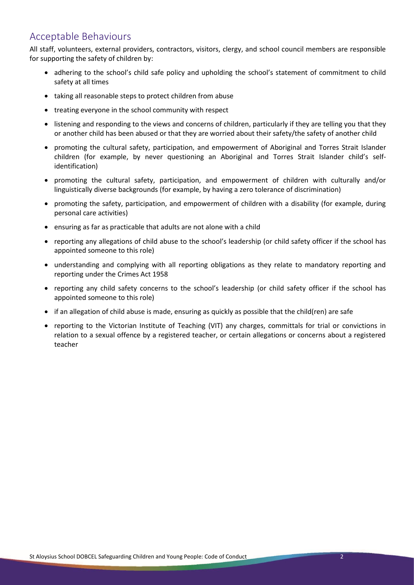## Acceptable Behaviours

All staff, volunteers, external providers, contractors, visitors, clergy, and school council members are responsible for supporting the safety of children by:

- adhering to the school's child safe policy and upholding the school's statement of commitment to child safety at all times
- taking all reasonable steps to protect children from abuse
- treating everyone in the school community with respect
- listening and responding to the views and concerns of children, particularly if they are telling you that they or another child has been abused or that they are worried about their safety/the safety of another child
- promoting the cultural safety, participation, and empowerment of Aboriginal and Torres Strait Islander children (for example, by never questioning an Aboriginal and Torres Strait Islander child's selfidentification)
- promoting the cultural safety, participation, and empowerment of children with culturally and/or linguistically diverse backgrounds (for example, by having a zero tolerance of discrimination)
- promoting the safety, participation, and empowerment of children with a disability (for example, during personal care activities)
- ensuring as far as practicable that adults are not alone with a child
- reporting any allegations of child abuse to the school's leadership (or child safety officer if the school has appointed someone to this role)
- understanding and complying with all reporting obligations as they relate to mandatory reporting and reporting under the Crimes Act 1958
- reporting any child safety concerns to the school's leadership (or child safety officer if the school has appointed someone to this role)
- if an allegation of child abuse is made, ensuring as quickly as possible that the child(ren) are safe
- reporting to the Victorian Institute of Teaching (VIT) any charges, committals for trial or convictions in relation to a sexual offence by a registered teacher, or certain allegations or concerns about a registered teacher